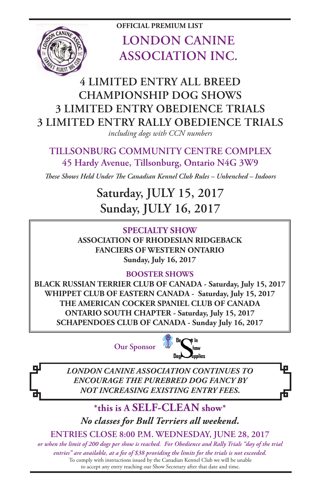

**OFFICIAL PREMIUM LIST LONDON CANINE ASSOCIATION INC.**

# **4 LIMITED ENTRY ALL BREED CHAMPIONSHIP DOG SHOWS 3 LIMITED ENTRY OBEDIENCE TRIALS 3 LIMITED ENTRY RALLY OBEDIENCE TRIALS**

*including dogs with CCN numbers*

## **TILLSONBURG COMMUNITY CENTRE COMPLEX 45 Hardy Avenue, Tillsonburg, Ontario N4G 3W9**

*These Shows Held Under The Canadian Kennel Club Rules – Unbenched – Indoors*

# **Saturday, JULY 15, 2017 Sunday, JULY 16, 2017**

**SPECIALTY SHOW ASSOCIATION OF RHODESIAN RIDGEBACK FANCIERS OF WESTERN ONTARIO Sunday, July 16, 2017**

### **BOOSTER SHOWS**

**BLACK RUSSIAN TERRIER CLUB OF CANADA - Saturday, July 15, 2017 WHIPPET CLUB OF EASTERN CANADA - Saturday, July 15, 2017 THE AMERICAN COCKER SPANIEL CLUB OF CANADA ONTARIO SOUTH CHAPTER - Saturday, July 15, 2017 SCHAPENDOES CLUB OF CANADA - Sunday July 16, 2017**

**Our Sponsor**



*LONDON CANINE ASSOCIATION CONTINUES TO ENCOURAGE THE PUREBRED DOG FANCY BY NOT INCREASING EXISTING ENTRY FEES.*

**\*this is A SELF-CLEAN show\*** *No classes for Bull Terriers all weekend.*

**ENTRIES CLOSE 8:00 P.M. WEDNESDAY, JUNE 28, 2017**

To comply with instructions issued by the Canadian Kennel Club we will be unable to accept any entry reaching our Show Secretary after that date and time. *or when the limit of 200 dogs per show is reached. For Obedience and Rally Trials "day of the trial entries" are available, at a fee of \$38 providing the limits for the trials is not exceeded.*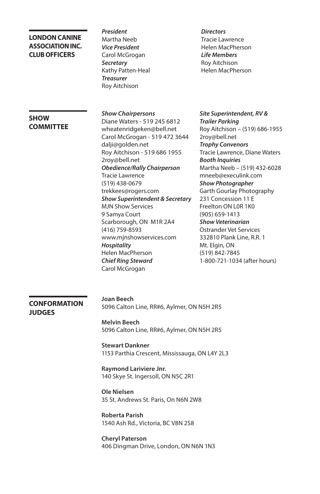#### **LONDON CANINE ASSOCIATION INC. CLUB OFFICERS**

*President* Martha Neeb *Vice President* Carol McGrogan *Secretary* Kathy Patten-Heal *Treasurer* Roy Aitchison

*Hospitality*

#### *Directors* Tracie Lawrence Helen MacPherson *Life Members* Roy Aitchison Helen MacPherson

#### **SHOW COMMITTEE**

*Show Chairpersons* Diane Waters - 519 245 6812 wheatenridgeken@bell.net Carol McGrogan - 519 472 3644 dalji@golden.net Roy Aitchison - 519 686 1955 2roy@bell.net *Obedience/Rally Chairperson* Tracie Lawrence (519) 438-0679 trekkees@rogers.com *Show Superintendent & Secretary* MJN Show Services 9 Samya Court Scarborough, ON M1R 2A4 (416) 759-8593 www.mjnshowservices.com Helen MacPherson *Chief Ring Steward* Carol McGrogan *Site Superintendent, RV & Trailer Parking* Roy Aitchison – (519) 686-1955 2roy@bell.net *Trophy Convenors* Tracie Lawrence, Diane Waters *Booth Inquiries* Martha Neeb – (519) 432-6028 mneeb@execulink.com *Show Photographer* Garth Gourlay Photography 231 Concession 11 E Freelton ON L0R 1K0 (905) 659-1413 *Show Veterinarian* Ostrander Vet Services 332810 Plank Line, R.R. 1 Mt. Elgin, ON (519) 842-7845 1-800-721-1034 (after hours)

#### **CONFORMATION JUDGES**

**Joan Beech** 5096 Calton Line, RR#6, Aylmer, ON N5H 2R5

**Melvin Beech** 5096 Calton Line, RR#6, Aylmer, ON N5H 2R5

**Stewart Dankner** 1153 Parthia Crescent, Mississauga, ON L4Y 2L3

**Raymond Lariviere Jnr.** 140 Skye St. Ingersoll, ON N5C 2R1

**Ole Nielsen**  35 St. Andrews St. Paris, On N6N 2W8

**Roberta Parish**  1540 Ash Rd., Victoria, BC V8N 2S8

**Cheryl Paterson** 406 Dingman Drive, London, ON N6N 1N3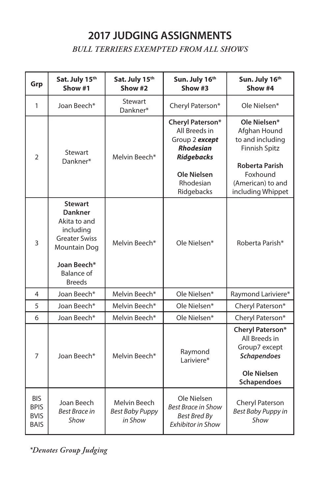# **2017 JUDGING ASSIGNMENTS**

*BULL TERRIERS EXEMPTED FROM ALL SHOWS*

| Grp                                                     | Sat. July 15th<br>Show #1                                                                                                                                         | Sat. July 15th<br>Show #2                         | Sun. July 16th<br>Show #3                                                                                                                     | Sun. July 16th<br>Show #4                                                                                                                               |
|---------------------------------------------------------|-------------------------------------------------------------------------------------------------------------------------------------------------------------------|---------------------------------------------------|-----------------------------------------------------------------------------------------------------------------------------------------------|---------------------------------------------------------------------------------------------------------------------------------------------------------|
| $\mathbf{1}$                                            | Joan Beech*                                                                                                                                                       | Stewart<br>Dankner*                               | Cheryl Paterson*                                                                                                                              | Ole Nielsen*                                                                                                                                            |
| $\overline{2}$                                          | Stewart<br>Dankner*                                                                                                                                               | Melvin Beech*                                     | Cheryl Paterson*<br>All Breeds in<br>Group 2 except<br><b>Rhodesian</b><br><b>Ridgebacks</b><br><b>Ole Nielsen</b><br>Rhodesian<br>Ridgebacks | Ole Nielsen*<br>Afghan Hound<br>to and including<br><b>Finnish Spitz</b><br><b>Roberta Parish</b><br>Foxhound<br>(American) to and<br>including Whippet |
| 3                                                       | <b>Stewart</b><br><b>Dankner</b><br>Akita to and<br>including<br><b>Greater Swiss</b><br><b>Mountain Dog</b><br>Joan Beech*<br><b>Balance of</b><br><b>Breeds</b> | Melvin Beech*                                     | Ole Nielsen*                                                                                                                                  | Roberta Parish*                                                                                                                                         |
| 4                                                       | Joan Beech*                                                                                                                                                       | Melvin Beech*                                     | Ole Nielsen*                                                                                                                                  | Raymond Lariviere*                                                                                                                                      |
| 5                                                       | Joan Beech*                                                                                                                                                       | Melvin Beech*                                     | Ole Nielsen*                                                                                                                                  | Cheryl Paterson*                                                                                                                                        |
| 6                                                       | Joan Beech*                                                                                                                                                       | Melvin Beech*                                     | Ole Nielsen*                                                                                                                                  | Cheryl Paterson*                                                                                                                                        |
| 7                                                       | Joan Beech*                                                                                                                                                       | Melvin Beech*                                     | Raymond<br>Lariviere*                                                                                                                         | Cheryl Paterson*<br>All Breeds in<br>Group7 except<br><b>Schapendoes</b><br>Ole Nielsen<br>Schapendoes                                                  |
| <b>BIS</b><br><b>BPIS</b><br><b>BVIS</b><br><b>BAIS</b> | Joan Beech<br><b>Best Brace in</b><br>Show                                                                                                                        | Melvin Beech<br><b>Best Baby Puppy</b><br>in Show | Ole Nielsen<br><b>Best Brace in Show</b><br><b>Best Bred By</b><br><b>Exhibitor in Show</b>                                                   | Cheryl Paterson<br><b>Best Baby Puppy in</b><br>Show                                                                                                    |

*\*Denotes Group Judging*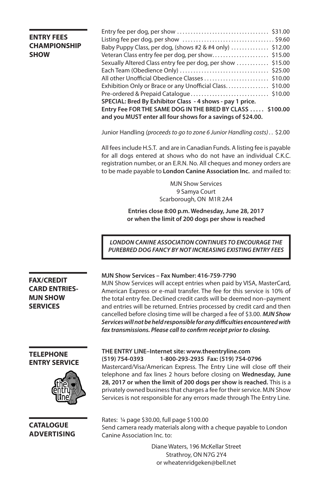### **ENTRY FEES CHAMPIONSHIP SHOW**

| Veteran Class entry fee per dog, per show\$15.00            |  |
|-------------------------------------------------------------|--|
| Sexually Altered Class entry fee per dog, per show \$15.00  |  |
|                                                             |  |
|                                                             |  |
| Exhibition Only or Brace or any Unofficial Class\$10.00     |  |
|                                                             |  |
| SPECIAL: Bred By Exhibitor Class - 4 shows - pay 1 price.   |  |
| Entry Fee FOR THE SAME DOG IN THE BRED BY CLASS  \$100.00   |  |
| and you MUST enter all four shows for a savings of \$24.00. |  |
|                                                             |  |

Junior Handling *(proceeds to go to zone 6 Junior Handling costs) . .* \$2.00

All fees include H.S.T. and are in Canadian Funds. A listing fee is payable for all dogs entered at shows who do not have an individual C.K.C. registration number, or an E.R.N. No. All cheques and money orders are to be made payable to **London Canine Association Inc.** and mailed to:

> MJN Show Services 9 Samya Court Scarborough, ON M1R 2A4

**Entries close 8:00 p.m. Wednesday, June 28, 2017 or when the limit of 200 dogs per show is reached** 

*LONDON CANINE ASSOCIATION CONTINUES TO ENCOURAGE THE PUREBRED DOG FANCY BY NOT INCREASING EXISTING ENTRY FEES*

#### **MJN Show Services – Fax Number: 416-759-7790**

MJN Show Services will accept entries when paid by VISA, MasterCard, American Express or e-mail transfer. The fee for this service is 10% of the total entry fee. Declined credit cards will be deemed non–payment and entries will be returned. Entries processed by credit card and then cancelled before closing time will be charged a fee of \$3.00. *MJN Show Services will not be held responsible for any difficulties encountered with fax transmissions. Please call to confirm receipt prior to closing.*

#### **TELEPHONE ENTRY SERVICE**

**FAX/CREDIT CARD ENTRIES-MJN SHOW SERVICES**



**CATALOGUE ADVERTISING**

#### **THE ENTRY LINE–Internet site: www.theentryline.com (519) 754-0393 1-800-293-2935 Fax: (519) 754-0796**

Mastercard/Visa/American Express. The Entry Line will close off their telephone and fax lines 2 hours before closing on **Wednesday, June 28, 2017 or when the limit of 200 dogs per show is reached.** This is a privately owned business that charges a fee for their service. MJN Show Services is not responsible for any errors made through The Entry Line.

Rates: ¼ page \$30.00, full page \$100.00 Send camera ready materials along with a cheque payable to London Canine Association Inc. to:

> Diane Waters, 196 McKellar Street Strathroy, ON N7G 2Y4 or wheatenridgeken@bell.net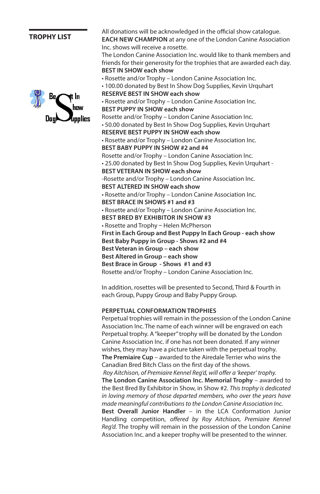#### **TROPHY LIST**



All donations will be acknowledged in the official show catalogue. **EACH NEW CHAMPION** at any one of the London Canine Association

Inc. shows will receive a rosette. The London Canine Association Inc. would like to thank members and friends for their generosity for the trophies that are awarded each day. **BEST IN SHOW each show**

• Rosette and/or Trophy – London Canine Association Inc. • 100.00 donated by Best In Show Dog Supplies, Kevin Urquhart **RESERVE BEST IN SHOW each show** • Rosette and/or Trophy – London Canine Association Inc. **BEST PUPPY IN SHOW each show** Rosette and/or Trophy – London Canine Association Inc. • 50.00 donated by Best In Show Dog Supplies, Kevin Urquhart **RESERVE BEST PUPPY IN SHOW each show** • Rosette and/or Trophy – London Canine Association Inc. **BEST BABY PUPPY IN SHOW #2 and #4** Rosette and/or Trophy – London Canine Association Inc. • 25.00 donated by Best In Show Dog Supplies, Kevin Urquhart - **BEST VETERAN IN SHOW each show** -Rosette and/or Trophy – London Canine Association Inc. **BEST ALTERED IN SHOW each show** • Rosette and/or Trophy – London Canine Association Inc. **BEST BRACE IN SHOWS #1 and #3** • Rosette and/or Trophy – London Canine Association Inc. **BEST BRED BY EXHIBITOR IN SHOW #3**  • Rosette and Trophy **–** Helen McPherson **First in Each Group and Best Puppy In Each Group - each show Best Baby Puppy in Group - Shows #2 and #4 Best Veteran in Group – each show Best Altered in Group – each show Best Brace in Group - Shows #1 and #3** Rosette and/or Trophy – London Canine Association Inc.

In addition, rosettes will be presented to Second, Third & Fourth in each Group, Puppy Group and Baby Puppy Group.

#### **PERPETUAL CONFORMATION TROPHIES**

Perpetual trophies will remain in the possession of the London Canine Association Inc. The name of each winner will be engraved on each Perpetual trophy. A "keeper" trophy will be donated by the London Canine Association Inc. if one has not been donated. If any winner wishes, they may have a picture taken with the perpetual trophy. **The Premiaire Cup** – awarded to the Airedale Terrier who wins the Canadian Bred Bitch Class on the first day of the shows. *Roy Aitchison, of Premiaire Kennel Reg'd, will offer a 'keeper' trophy.* **The London Canine Association Inc. Memorial Trophy** – awarded to the Best Bred By Exhibitor in Show, in Show #2. *This trophy is dedicated in loving memory of those departed members, who over the years have made meaningful contributions to the London Canine Association Inc.* **Best Overall Junior Handler** – in the LCA Conformation Junior Handling competition, *offered by Roy Aitchison, Premiaire Kennel Reg'd.* The trophy will remain in the possession of the London Canine Association Inc. and a keeper trophy will be presented to the winner.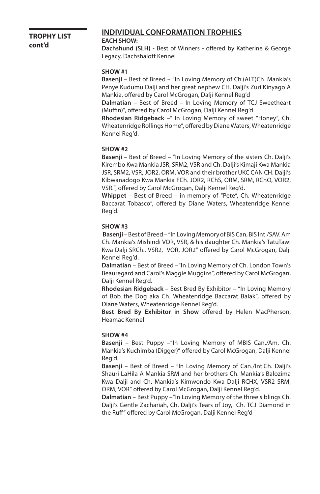#### **TROPHY LIST cont'd**

#### **INDIVIDUAL CONFORMATION TROPHIES**

#### **EACH SHOW:**

**Dachshund (SLH)** - Best of Winners - offered by Katherine & George Legacy, Dachshalott Kennel

#### **SHOW #1**

**Basenji** – Best of Breed – "In Loving Memory of Ch.(ALT)Ch. Mankia's Penye Kudumu Dalji and her great nephew CH. Dalji's Zuri Kinyago A Mankia, offered by Carol McGrogan, Dalji Kennel Reg'd

**Dalmatian** – Best of Breed – In Loving Memory of TCJ Sweetheart (Muffin)", offered by Carol McGrogan, Dalji Kennel Reg'd.

**Rhodesian Ridgeback** –" In Loving Memory of sweet "Honey", Ch. Wheatenridge Rollings Home", offered by Diane Waters, Wheatenridge Kennel Reg'd.

#### **SHOW #2**

**Basenji** – Best of Breed – "In Loving Memory of the sisters Ch. Dalji's Kirembo Kwa Mankia JSR, SRM2, VSR and Ch. Dalji's Kimaji Kwa Mankia JSR, SRM2, VSR, JOR2, ORM, VOR and their brother UKC CAN CH. Dalji's Kibwanadogo Kwa Mankia FCh. JOR2, RChS, ORM, SRM, RChO, VOR2, VSR.", offered by Carol McGrogan, Dalji Kennel Reg'd.

**Whippet** – Best of Breed – in memory of "Pete", Ch. Wheatenridge Baccarat Tobasco", offered by Diane Waters, Wheatenridge Kennel Reg'd.

#### **SHOW #3**

 **Basenji** – Best of Breed – "In Loving Memory of BIS Can, BIS Int./SAV. Am Ch. Mankia's Mishindi VOR, VSR, & his daughter Ch. Mankia's TatuTawi Kwa Dalji SRCh., VSR2, VOR, JOR2" offered by Carol McGrogan, Dalji Kennel Reg'd.

**Dalmatian** – Best of Breed –"In Loving Memory of Ch. London Town's Beauregard and Carol's Maggie Muggins", offered by Carol McGrogan, Dalji Kennel Reg'd.

**Rhodesian Ridgeback** – Best Bred By Exhibitor – "In Loving Memory of Bob the Dog aka Ch. Wheatenridge Baccarat Balak", offered by Diane Waters, Wheatenridge Kennel Reg'd.

**Best Bred By Exhibitor in Show** offered by Helen MacPherson, Heamac Kennel

#### **SHOW #4**

**Basenji** – Best Puppy –"In Loving Memory of MBIS Can./Am. Ch. Mankia's Kuchimba (Digger)" offered by Carol McGrogan, Dalji Kennel Reg'd.

**Basenji** – Best of Breed – "In Loving Memory of Can./Int.Ch. Dalji's Shauri LaHila A Mankia SRM and her brothers Ch. Mankia's Balozima Kwa Dalji and Ch. Mankia's Kimwondo Kwa Dalji RCHX, VSR2 SRM, ORM, VOR" offered by Carol McGrogan, Dalji Kennel Reg'd.

**Dalmatian** – Best Puppy –"In Loving Memory of the three siblings Ch. Dalji's Gentle Zachariah, Ch. Dalji's Tears of Joy, Ch. TCJ Diamond in the Ruff" offered by Carol McGrogan, Dalji Kennel Reg'd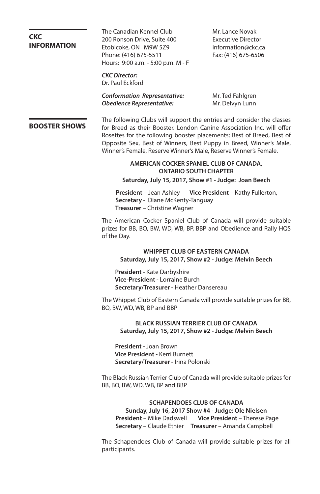**CKC INFORMATION** The Canadian Kennel Club Mr. Lance Novak 200 Ronson Drive, Suite 400 Executive Director Etobicoke, ON M9W 5Z9 information@ckc.ca Phone: (416) 675-5511 Fax: (416) 675-6506 Hours: 9:00 a.m. - 5:00 p.m. M - F *CKC Director:*  Dr. Paul Eckford *Conformation Representative:* Mr. Ted Fahlgren **Obedience Representative:** Mr. Delvyn Lunn **BOOSTER SHOWS** The following Clubs will support the entries and consider the classes for Breed as their Booster. London Canine Association Inc. will offer Rosettes for the following booster placements; Best of Breed, Best of Opposite Sex, Best of Winners, Best Puppy in Breed, Winner's Male, Winner's Female, Reserve Winner's Male, Reserve Winner's Female. **AMERICAN COCKER SPANIEL CLUB OF CANADA, ONTARIO SOUTH CHAPTER Saturday, July 15, 2017, Show #1 - Judge: Joan Beech President** – Jean Ashley **Vice President** – Kathy Fullerton, **Secretary** - Diane McKenty-Tanguay **Treasurer** – Christine Wagner The American Cocker Spaniel Club of Canada will provide suitable prizes for BB, BO, BW, WD, WB, BP, BBP and Obedience and Rally HQS of the Day. **WHIPPET CLUB OF EASTERN CANADA Saturday, July 15, 2017, Show #2 - Judge: Melvin Beech President -** Kate Darbyshire  **Vice-President -** Lorraine Burch  **Secretary/Treasurer -** Heather Dansereau The Whippet Club of Eastern Canada will provide suitable prizes for BB, BO, BW, WD, WB, BP and BBP **BLACK RUSSIAN TERRIER CLUB OF CANADA Saturday, July 15, 2017, Show #2 - Judge: Melvin Beech President -** Joan Brown  **Vice President -** Kerri Burnett  **Secretary/Treasurer -** Irina Polonski The Black Russian Terrier Club of Canada will provide suitable prizes for BB, BO, BW, WD, WB, BP and BBP **SCHAPENDOES CLUB OF CANADA Sunday, July 16, 2017 Show #4 - Judge: Ole Nielsen President** – Mike Dadswell **Vice President** – Therese Page **Secretary** – Claude Ethier **Treasurer** – Amanda Campbell The Schapendoes Club of Canada will provide suitable prizes for all

participants.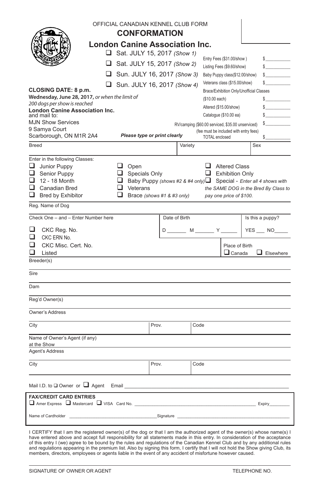| <b>London Canine Association Inc.</b><br>Sat. JULY 15, 2017 (Show 1)<br>Entry Fees (\$31.00/show)<br>s<br>$\Box$ Sat. JULY 15, 2017 (Show 2)<br>$\mathbb{S}$<br>Listing Fees (\$9.60/show)<br>Sun. JULY 16, 2017 (Show 3)<br>s<br>Baby Puppy class(\$12.00/show)<br>Veterans class (\$15.00/show)<br>\$<br>$\Box$ Sun. JULY 16, 2017 (Show 4)<br><b>CLOSING DATE: 8 p.m.</b><br>Brace/Exhibition Only/Unofficial Classes<br>Wednesday, June 28, 2017, or when the limit of<br>$\sim$<br>(\$10.00 each)<br>200 dogs per show is reached<br>s<br>Altered (\$15.00/show)<br><b>London Canine Association Inc.</b><br>Catalogue (\$10.00 ea)<br>$\mathbb{S}$<br>and mail to:<br><b>MJN Show Services</b><br>RV/camping (\$60.00 serviced, \$35.00 unserviced)<br>9 Samya Court<br>(fee must be included with entry fees)<br>Please type or print clearly<br>Scarborough, ON M1R 2A4<br><b>TOTAL</b> enclosed<br>\$<br>Breed<br>Sex<br>Variety<br>Enter in the following Classes:<br>$\Box$ Junior Puppy<br>$\Box$ Open<br>Altered Class<br>$\Box$ Exhibition Only<br>$\Box$ Senior Puppy<br>Specials Only<br>$\Box$ 12 - 18 Month<br>□ Baby Puppy (shows #2 & #4 only) <b>□</b> Special - Enter all 4 shows with<br>$\Box$ Canadian Bred<br>$\Box$ Veterans<br>the SAME DOG in the Bred By Class to<br>$\Box$ Bred by Exhibitor<br>п<br>Brace (shows #1 & #3 only)<br>pay one price of \$100.<br>Reg. Name of Dog<br>Check One - and - Enter Number here<br>Date of Birth<br>Is this a puppy?<br>◻<br>D ______ M ______ Y __<br>YES NO<br>CKC Reg. No.<br>◻<br>CKC ERN No.<br>⊓<br>CKC Misc. Cert. No.<br>Place of Birth<br>$\Box$ Canada<br>$\Box$ Elsewhere<br>Listed<br>Breeder(s)<br>Sire<br>Dam<br>Reg'd Owner(s)<br>Owner's Address<br>City<br>Code<br>Prov.<br>Name of Owner's Agent (if any)<br>at the Show<br>Agent's Address<br>City<br>Prov.<br>Code<br>Mail I.D. to $\square$ Owner or $\square$ Agent<br>Email<br><b>FAX/CREDIT CARD ENTRIES</b><br>Amer Express A Mastercard VISA Card No.<br><b>Expiry</b> Expiry<br>Name of Cardholder<br>Signature |  |  | OFFICIAL CANADIAN KENNEL CLUB FORM<br><b>CONFORMATION</b> |  |  |  |  |  |  |  |
|-----------------------------------------------------------------------------------------------------------------------------------------------------------------------------------------------------------------------------------------------------------------------------------------------------------------------------------------------------------------------------------------------------------------------------------------------------------------------------------------------------------------------------------------------------------------------------------------------------------------------------------------------------------------------------------------------------------------------------------------------------------------------------------------------------------------------------------------------------------------------------------------------------------------------------------------------------------------------------------------------------------------------------------------------------------------------------------------------------------------------------------------------------------------------------------------------------------------------------------------------------------------------------------------------------------------------------------------------------------------------------------------------------------------------------------------------------------------------------------------------------------------------------------------------------------------------------------------------------------------------------------------------------------------------------------------------------------------------------------------------------------------------------------------------------------------------------------------------------------------------------------------------------------------------------------------------------------------------------------------------------------------------------------------------------------------|--|--|-----------------------------------------------------------|--|--|--|--|--|--|--|
|                                                                                                                                                                                                                                                                                                                                                                                                                                                                                                                                                                                                                                                                                                                                                                                                                                                                                                                                                                                                                                                                                                                                                                                                                                                                                                                                                                                                                                                                                                                                                                                                                                                                                                                                                                                                                                                                                                                                                                                                                                                                 |  |  |                                                           |  |  |  |  |  |  |  |
|                                                                                                                                                                                                                                                                                                                                                                                                                                                                                                                                                                                                                                                                                                                                                                                                                                                                                                                                                                                                                                                                                                                                                                                                                                                                                                                                                                                                                                                                                                                                                                                                                                                                                                                                                                                                                                                                                                                                                                                                                                                                 |  |  |                                                           |  |  |  |  |  |  |  |
|                                                                                                                                                                                                                                                                                                                                                                                                                                                                                                                                                                                                                                                                                                                                                                                                                                                                                                                                                                                                                                                                                                                                                                                                                                                                                                                                                                                                                                                                                                                                                                                                                                                                                                                                                                                                                                                                                                                                                                                                                                                                 |  |  |                                                           |  |  |  |  |  |  |  |
|                                                                                                                                                                                                                                                                                                                                                                                                                                                                                                                                                                                                                                                                                                                                                                                                                                                                                                                                                                                                                                                                                                                                                                                                                                                                                                                                                                                                                                                                                                                                                                                                                                                                                                                                                                                                                                                                                                                                                                                                                                                                 |  |  |                                                           |  |  |  |  |  |  |  |
|                                                                                                                                                                                                                                                                                                                                                                                                                                                                                                                                                                                                                                                                                                                                                                                                                                                                                                                                                                                                                                                                                                                                                                                                                                                                                                                                                                                                                                                                                                                                                                                                                                                                                                                                                                                                                                                                                                                                                                                                                                                                 |  |  |                                                           |  |  |  |  |  |  |  |
|                                                                                                                                                                                                                                                                                                                                                                                                                                                                                                                                                                                                                                                                                                                                                                                                                                                                                                                                                                                                                                                                                                                                                                                                                                                                                                                                                                                                                                                                                                                                                                                                                                                                                                                                                                                                                                                                                                                                                                                                                                                                 |  |  |                                                           |  |  |  |  |  |  |  |
|                                                                                                                                                                                                                                                                                                                                                                                                                                                                                                                                                                                                                                                                                                                                                                                                                                                                                                                                                                                                                                                                                                                                                                                                                                                                                                                                                                                                                                                                                                                                                                                                                                                                                                                                                                                                                                                                                                                                                                                                                                                                 |  |  |                                                           |  |  |  |  |  |  |  |
|                                                                                                                                                                                                                                                                                                                                                                                                                                                                                                                                                                                                                                                                                                                                                                                                                                                                                                                                                                                                                                                                                                                                                                                                                                                                                                                                                                                                                                                                                                                                                                                                                                                                                                                                                                                                                                                                                                                                                                                                                                                                 |  |  |                                                           |  |  |  |  |  |  |  |
|                                                                                                                                                                                                                                                                                                                                                                                                                                                                                                                                                                                                                                                                                                                                                                                                                                                                                                                                                                                                                                                                                                                                                                                                                                                                                                                                                                                                                                                                                                                                                                                                                                                                                                                                                                                                                                                                                                                                                                                                                                                                 |  |  |                                                           |  |  |  |  |  |  |  |
|                                                                                                                                                                                                                                                                                                                                                                                                                                                                                                                                                                                                                                                                                                                                                                                                                                                                                                                                                                                                                                                                                                                                                                                                                                                                                                                                                                                                                                                                                                                                                                                                                                                                                                                                                                                                                                                                                                                                                                                                                                                                 |  |  |                                                           |  |  |  |  |  |  |  |
|                                                                                                                                                                                                                                                                                                                                                                                                                                                                                                                                                                                                                                                                                                                                                                                                                                                                                                                                                                                                                                                                                                                                                                                                                                                                                                                                                                                                                                                                                                                                                                                                                                                                                                                                                                                                                                                                                                                                                                                                                                                                 |  |  |                                                           |  |  |  |  |  |  |  |
|                                                                                                                                                                                                                                                                                                                                                                                                                                                                                                                                                                                                                                                                                                                                                                                                                                                                                                                                                                                                                                                                                                                                                                                                                                                                                                                                                                                                                                                                                                                                                                                                                                                                                                                                                                                                                                                                                                                                                                                                                                                                 |  |  |                                                           |  |  |  |  |  |  |  |
|                                                                                                                                                                                                                                                                                                                                                                                                                                                                                                                                                                                                                                                                                                                                                                                                                                                                                                                                                                                                                                                                                                                                                                                                                                                                                                                                                                                                                                                                                                                                                                                                                                                                                                                                                                                                                                                                                                                                                                                                                                                                 |  |  |                                                           |  |  |  |  |  |  |  |
|                                                                                                                                                                                                                                                                                                                                                                                                                                                                                                                                                                                                                                                                                                                                                                                                                                                                                                                                                                                                                                                                                                                                                                                                                                                                                                                                                                                                                                                                                                                                                                                                                                                                                                                                                                                                                                                                                                                                                                                                                                                                 |  |  |                                                           |  |  |  |  |  |  |  |
|                                                                                                                                                                                                                                                                                                                                                                                                                                                                                                                                                                                                                                                                                                                                                                                                                                                                                                                                                                                                                                                                                                                                                                                                                                                                                                                                                                                                                                                                                                                                                                                                                                                                                                                                                                                                                                                                                                                                                                                                                                                                 |  |  |                                                           |  |  |  |  |  |  |  |
|                                                                                                                                                                                                                                                                                                                                                                                                                                                                                                                                                                                                                                                                                                                                                                                                                                                                                                                                                                                                                                                                                                                                                                                                                                                                                                                                                                                                                                                                                                                                                                                                                                                                                                                                                                                                                                                                                                                                                                                                                                                                 |  |  |                                                           |  |  |  |  |  |  |  |
|                                                                                                                                                                                                                                                                                                                                                                                                                                                                                                                                                                                                                                                                                                                                                                                                                                                                                                                                                                                                                                                                                                                                                                                                                                                                                                                                                                                                                                                                                                                                                                                                                                                                                                                                                                                                                                                                                                                                                                                                                                                                 |  |  |                                                           |  |  |  |  |  |  |  |
|                                                                                                                                                                                                                                                                                                                                                                                                                                                                                                                                                                                                                                                                                                                                                                                                                                                                                                                                                                                                                                                                                                                                                                                                                                                                                                                                                                                                                                                                                                                                                                                                                                                                                                                                                                                                                                                                                                                                                                                                                                                                 |  |  |                                                           |  |  |  |  |  |  |  |
|                                                                                                                                                                                                                                                                                                                                                                                                                                                                                                                                                                                                                                                                                                                                                                                                                                                                                                                                                                                                                                                                                                                                                                                                                                                                                                                                                                                                                                                                                                                                                                                                                                                                                                                                                                                                                                                                                                                                                                                                                                                                 |  |  |                                                           |  |  |  |  |  |  |  |
|                                                                                                                                                                                                                                                                                                                                                                                                                                                                                                                                                                                                                                                                                                                                                                                                                                                                                                                                                                                                                                                                                                                                                                                                                                                                                                                                                                                                                                                                                                                                                                                                                                                                                                                                                                                                                                                                                                                                                                                                                                                                 |  |  |                                                           |  |  |  |  |  |  |  |
|                                                                                                                                                                                                                                                                                                                                                                                                                                                                                                                                                                                                                                                                                                                                                                                                                                                                                                                                                                                                                                                                                                                                                                                                                                                                                                                                                                                                                                                                                                                                                                                                                                                                                                                                                                                                                                                                                                                                                                                                                                                                 |  |  |                                                           |  |  |  |  |  |  |  |
|                                                                                                                                                                                                                                                                                                                                                                                                                                                                                                                                                                                                                                                                                                                                                                                                                                                                                                                                                                                                                                                                                                                                                                                                                                                                                                                                                                                                                                                                                                                                                                                                                                                                                                                                                                                                                                                                                                                                                                                                                                                                 |  |  |                                                           |  |  |  |  |  |  |  |
|                                                                                                                                                                                                                                                                                                                                                                                                                                                                                                                                                                                                                                                                                                                                                                                                                                                                                                                                                                                                                                                                                                                                                                                                                                                                                                                                                                                                                                                                                                                                                                                                                                                                                                                                                                                                                                                                                                                                                                                                                                                                 |  |  |                                                           |  |  |  |  |  |  |  |
|                                                                                                                                                                                                                                                                                                                                                                                                                                                                                                                                                                                                                                                                                                                                                                                                                                                                                                                                                                                                                                                                                                                                                                                                                                                                                                                                                                                                                                                                                                                                                                                                                                                                                                                                                                                                                                                                                                                                                                                                                                                                 |  |  |                                                           |  |  |  |  |  |  |  |
|                                                                                                                                                                                                                                                                                                                                                                                                                                                                                                                                                                                                                                                                                                                                                                                                                                                                                                                                                                                                                                                                                                                                                                                                                                                                                                                                                                                                                                                                                                                                                                                                                                                                                                                                                                                                                                                                                                                                                                                                                                                                 |  |  |                                                           |  |  |  |  |  |  |  |
|                                                                                                                                                                                                                                                                                                                                                                                                                                                                                                                                                                                                                                                                                                                                                                                                                                                                                                                                                                                                                                                                                                                                                                                                                                                                                                                                                                                                                                                                                                                                                                                                                                                                                                                                                                                                                                                                                                                                                                                                                                                                 |  |  |                                                           |  |  |  |  |  |  |  |
|                                                                                                                                                                                                                                                                                                                                                                                                                                                                                                                                                                                                                                                                                                                                                                                                                                                                                                                                                                                                                                                                                                                                                                                                                                                                                                                                                                                                                                                                                                                                                                                                                                                                                                                                                                                                                                                                                                                                                                                                                                                                 |  |  |                                                           |  |  |  |  |  |  |  |
|                                                                                                                                                                                                                                                                                                                                                                                                                                                                                                                                                                                                                                                                                                                                                                                                                                                                                                                                                                                                                                                                                                                                                                                                                                                                                                                                                                                                                                                                                                                                                                                                                                                                                                                                                                                                                                                                                                                                                                                                                                                                 |  |  |                                                           |  |  |  |  |  |  |  |
|                                                                                                                                                                                                                                                                                                                                                                                                                                                                                                                                                                                                                                                                                                                                                                                                                                                                                                                                                                                                                                                                                                                                                                                                                                                                                                                                                                                                                                                                                                                                                                                                                                                                                                                                                                                                                                                                                                                                                                                                                                                                 |  |  |                                                           |  |  |  |  |  |  |  |
|                                                                                                                                                                                                                                                                                                                                                                                                                                                                                                                                                                                                                                                                                                                                                                                                                                                                                                                                                                                                                                                                                                                                                                                                                                                                                                                                                                                                                                                                                                                                                                                                                                                                                                                                                                                                                                                                                                                                                                                                                                                                 |  |  |                                                           |  |  |  |  |  |  |  |
|                                                                                                                                                                                                                                                                                                                                                                                                                                                                                                                                                                                                                                                                                                                                                                                                                                                                                                                                                                                                                                                                                                                                                                                                                                                                                                                                                                                                                                                                                                                                                                                                                                                                                                                                                                                                                                                                                                                                                                                                                                                                 |  |  |                                                           |  |  |  |  |  |  |  |
|                                                                                                                                                                                                                                                                                                                                                                                                                                                                                                                                                                                                                                                                                                                                                                                                                                                                                                                                                                                                                                                                                                                                                                                                                                                                                                                                                                                                                                                                                                                                                                                                                                                                                                                                                                                                                                                                                                                                                                                                                                                                 |  |  |                                                           |  |  |  |  |  |  |  |
|                                                                                                                                                                                                                                                                                                                                                                                                                                                                                                                                                                                                                                                                                                                                                                                                                                                                                                                                                                                                                                                                                                                                                                                                                                                                                                                                                                                                                                                                                                                                                                                                                                                                                                                                                                                                                                                                                                                                                                                                                                                                 |  |  |                                                           |  |  |  |  |  |  |  |
|                                                                                                                                                                                                                                                                                                                                                                                                                                                                                                                                                                                                                                                                                                                                                                                                                                                                                                                                                                                                                                                                                                                                                                                                                                                                                                                                                                                                                                                                                                                                                                                                                                                                                                                                                                                                                                                                                                                                                                                                                                                                 |  |  |                                                           |  |  |  |  |  |  |  |
|                                                                                                                                                                                                                                                                                                                                                                                                                                                                                                                                                                                                                                                                                                                                                                                                                                                                                                                                                                                                                                                                                                                                                                                                                                                                                                                                                                                                                                                                                                                                                                                                                                                                                                                                                                                                                                                                                                                                                                                                                                                                 |  |  |                                                           |  |  |  |  |  |  |  |
|                                                                                                                                                                                                                                                                                                                                                                                                                                                                                                                                                                                                                                                                                                                                                                                                                                                                                                                                                                                                                                                                                                                                                                                                                                                                                                                                                                                                                                                                                                                                                                                                                                                                                                                                                                                                                                                                                                                                                                                                                                                                 |  |  |                                                           |  |  |  |  |  |  |  |

I CERTIFY that I am the registered owner(s) of the dog or that I am the authorized agent of the owner(s) whose name(s) I<br>have entered above and accept full responsibility for all statements made in this entry. In considera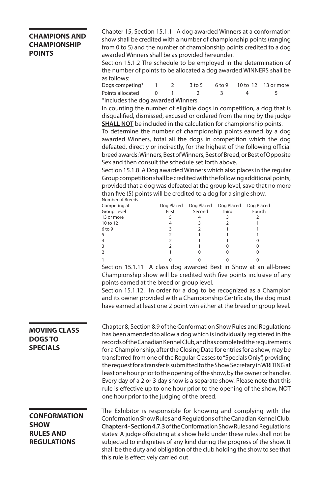#### **CHAMPIONS AND CHAMPIONSHIP POINTS**

Chapter 15, Section 15.1.1 A dog awarded Winners at a conformation show shall be credited with a number of championship points (ranging from 0 to 5) and the number of championship points credited to a dog awarded Winners shall be as provided hereunder.

Section 15.1.2 The schedule to be employed in the determination of the number of points to be allocated a dog awarded WINNERS shall be as follows:

| Dogs competing* 1 2                |  |  |  |     |                | 3 to 5 6 to 9 10 to 12 13 or more |  |  |  |
|------------------------------------|--|--|--|-----|----------------|-----------------------------------|--|--|--|
| Points allocated 0                 |  |  |  | - 3 | $\overline{a}$ |                                   |  |  |  |
| *includes the dog awarded Winners. |  |  |  |     |                |                                   |  |  |  |

In counting the number of eligible dogs in competition, a dog that is disqualified, dismissed, excused or ordered from the ring by the judge **SHALL NOT** be included in the calculation for championship points.

To determine the number of championship points earned by a dog awarded Winners, total all the dogs in competition which the dog defeated, directly or indirectly, for the highest of the following official breed awards: Winners, Best of Winners, Best of Breed, or Best of Opposite Sex and then consult the schedule set forth above.

Section 15.1.8 A Dog awarded Winners which also places in the regular Group competition shall be credited with the following additional points, provided that a dog was defeated at the group level, save that no more than five (5) points will be credited to a dog for a single show.

| Number of Breeds  |            |            |            |            |
|-------------------|------------|------------|------------|------------|
| Competing at      | Dog Placed | Dog Placed | Dog Placed | Dog Placed |
| Group Level       | First      | Second     | Third      | Fourth     |
| 13 or more        |            |            |            |            |
| 10 to 12          |            |            |            |            |
| 6 <sub>to</sub> 9 |            |            |            |            |
|                   |            |            |            |            |
|                   |            |            |            |            |
|                   |            |            |            |            |
|                   |            |            |            |            |
|                   |            |            |            |            |

Section 15.1.11 A class dog awarded Best in Show at an all-breed Championship show will be credited with five points inclusive of any points earned at the breed or group level.

Section 15.1.12. In order for a dog to be recognized as a Champion and its owner provided with a Championship Certificate, the dog must have earned at least one 2 point win either at the breed or group level.

#### **MOVING CLASS DOGS TO SPECIALS**

Chapter 8, Section 8.9 of the Conformation Show Rules and Regulations has been amended to allow a dog which is individually registered in the records of the Canadian Kennel Club, and has completed the requirements for a Championship, after the Closing Date for entries for a show, may be transferred from one of the Regular Classes to "Specials Only", providing the request for a transfer is submitted to the Show Secretary in WRITING at least one hour prior to the opening of the show, by the owner or handler. Every day of a 2 or 3 day show is a separate show. Please note that this rule is effective up to one hour prior to the opening of the show, NOT one hour prior to the judging of the breed.

#### **CONFORMATION SHOW RULES AND REGULATIONS**

The Exhibitor is responsible for knowing and complying with the Conformation Show Rules and Regulations of the Canadian Kennel Club. **Chapter 4 - Section 4.7.3** of the Conformation Show Rules and Regulations states: A judge officiating at a show held under these rules shall not be subjected to indignities of any kind during the progress of the show. It shall be the duty and obligation of the club holding the show to see that this rule is effectively carried out.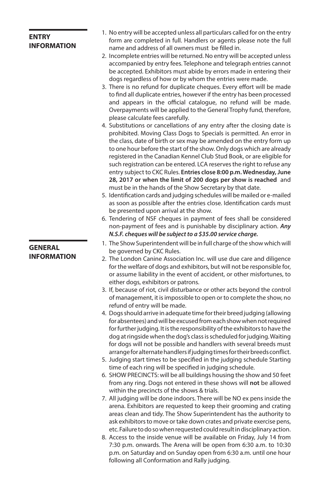### **ENTRY INFORMATION**

- 1. No entry will be accepted unless all particulars called for on the entry form are completed in full. Handlers or agents please note the full name and address of all owners must be filled in.
- 2. Incomplete entries will be returned. No entry will be accepted unless accompanied by entry fees. Telephone and telegraph entries cannot be accepted. Exhibitors must abide by errors made in entering their dogs regardless of how or by whom the entries were made.
- 3. There is no refund for duplicate cheques. Every effort will be made to find all duplicate entries, however if the entry has been processed and appears in the official catalogue, no refund will be made. Overpayments will be applied to the General Trophy fund, therefore, please calculate fees carefully.
- 4. Substitutions or cancellations of any entry after the closing date is prohibited. Moving Class Dogs to Specials is permitted. An error in the class, date of birth or sex may be amended on the entry form up to one hour before the start of the show. Only dogs which are already registered in the Canadian Kennel Club Stud Book, or are eligible for such registration can be entered. LCA reserves the right to refuse any entry subject to CKC Rules. **Entries close 8:00 p.m. Wednesday, June 28, 2017 or when the limit of 200 dogs per show is reached** and must be in the hands of the Show Secretary by that date.
- 5. Identification cards and judging schedules will be mailed or e-mailed as soon as possible after the entries close. Identification cards must be presented upon arrival at the show.
- 6. Tendering of NSF cheques in payment of fees shall be considered non-payment of fees and is punishable by disciplinary action. *Any N.S.F. cheques will be subject to a \$35.00 service charge.*
- 1. The Show Superintendent will be in full charge of the show which will be governed by CKC Rules.
- 2. The London Canine Association Inc. will use due care and diligence for the welfare of dogs and exhibitors, but will not be responsible for, or assume liability in the event of accident, or other misfortunes, to either dogs, exhibitors or patrons.
- 3. If, because of riot, civil disturbance or other acts beyond the control of management, it is impossible to open or to complete the show, no refund of entry will be made.
- 4. Dogs should arrive in adequate time for their breed judging (allowing for absentees) and will be excused from each show when not required for further judging. It is the responsibility of the exhibitors to have the dog at ringside when the dog's class is scheduled for judging. Waiting for dogs will not be possible and handlers with several breeds must arrange for alternate handlers if judging times for their breeds conflict.
- 5. Judging start times to be specified in the judging schedule Starting time of each ring will be specified in judging schedule.
- 6. SHOW PRECINCTS: will be all buildings housing the show and 50 feet from any ring. Dogs not entered in these shows will **not** be allowed within the precincts of the shows & trials.
- 7. All judging will be done indoors. There will be NO ex pens inside the arena. Exhibitors are requested to keep their grooming and crating areas clean and tidy. The Show Superintendent has the authority to ask exhibitors to move or take down crates and private exercise pens, etc. Failure to do so when requested could result in disciplinary action.
- 8. Access to the inside venue will be available on Friday, July 14 from 7:30 p.m. onwards. The Arena will be open from 6:30 a.m. to 10:30 p.m. on Saturday and on Sunday open from 6:30 a.m. until one hour following all Conformation and Rally judging.

**GENERAL INFORMATION**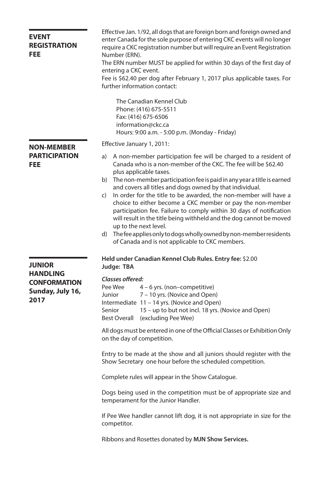| <b>EVENT</b><br><b>REGISTRATION</b><br><b>FEE</b>                  | Effective Jan. 1/92, all dogs that are foreign born and foreign owned and<br>enter Canada for the sole purpose of entering CKC events will no longer<br>require a CKC registration number but will require an Event Registration<br>Number (ERN).<br>The ERN number MUST be applied for within 30 days of the first day of<br>entering a CKC event.<br>Fee is \$62.40 per dog after February 1, 2017 plus applicable taxes. For<br>further information contact:                                                              |  |  |  |  |
|--------------------------------------------------------------------|------------------------------------------------------------------------------------------------------------------------------------------------------------------------------------------------------------------------------------------------------------------------------------------------------------------------------------------------------------------------------------------------------------------------------------------------------------------------------------------------------------------------------|--|--|--|--|
|                                                                    | The Canadian Kennel Club<br>Phone: (416) 675-5511<br>Fax: (416) 675-6506<br>information@ckc.ca<br>Hours: 9:00 a.m. - 5:00 p.m. (Monday - Friday)                                                                                                                                                                                                                                                                                                                                                                             |  |  |  |  |
| <b>NON-MEMBER</b>                                                  | Effective January 1, 2011:                                                                                                                                                                                                                                                                                                                                                                                                                                                                                                   |  |  |  |  |
| <b>PARTICIPATION</b><br><b>FEE</b>                                 | A non-member participation fee will be charged to a resident of<br>a)<br>Canada who is a non-member of the CKC. The fee will be \$62.40<br>plus applicable taxes.<br>The non-member participation fee is paid in any year a title is earned<br>b)<br>and covers all titles and dogs owned by that individual.<br>In order for the title to be awarded, the non-member will have a<br>C)<br>choice to either become a CKC member or pay the non-member<br>participation fee. Failure to comply within 30 days of notification |  |  |  |  |
|                                                                    | will result in the title being withheld and the dog cannot be moved<br>up to the next level.<br>d) The fee applies only to dogs wholly owned by non-member residents<br>of Canada and is not applicable to CKC members.                                                                                                                                                                                                                                                                                                      |  |  |  |  |
| <b>JUNIOR</b>                                                      | Held under Canadian Kennel Club Rules. Entry fee: \$2.00<br>Judge: TBA                                                                                                                                                                                                                                                                                                                                                                                                                                                       |  |  |  |  |
| <b>HANDLING</b><br><b>CONFORMATION</b><br>Sunday, July 16,<br>2017 | Classes offered:<br>Pee Wee<br>$4 - 6$ yrs. (non-competitive)<br>7 - 10 yrs. (Novice and Open)<br>Junior<br>Intermediate 11 - 14 yrs. (Novice and Open)<br>15 – up to but not incl. 18 yrs. (Novice and Open)<br>Senior<br>Best Overall (excluding Pee Wee)                                                                                                                                                                                                                                                                  |  |  |  |  |
|                                                                    | All dogs must be entered in one of the Official Classes or Exhibition Only<br>on the day of competition.                                                                                                                                                                                                                                                                                                                                                                                                                     |  |  |  |  |
|                                                                    | Entry to be made at the show and all juniors should register with the<br>Show Secretary one hour before the scheduled competition.                                                                                                                                                                                                                                                                                                                                                                                           |  |  |  |  |
|                                                                    | Complete rules will appear in the Show Catalogue.                                                                                                                                                                                                                                                                                                                                                                                                                                                                            |  |  |  |  |
|                                                                    | Dogs being used in the competition must be of appropriate size and<br>temperament for the Junior Handler.                                                                                                                                                                                                                                                                                                                                                                                                                    |  |  |  |  |
|                                                                    | If Pee Wee handler cannot lift dog, it is not appropriate in size for the<br>competitor.                                                                                                                                                                                                                                                                                                                                                                                                                                     |  |  |  |  |
|                                                                    | Ribbons and Rosettes donated by MJN Show Services.                                                                                                                                                                                                                                                                                                                                                                                                                                                                           |  |  |  |  |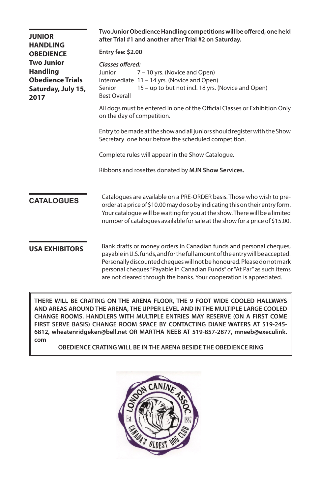| <b>JUNIOR</b><br><b>HANDLING</b>                                                              | Two Junior Obedience Handling competitions will be offered, one held<br>after Trial #1 and another after Trial #2 on Saturday.                                                                                                                                                                                                                                                  |  |  |  |  |  |
|-----------------------------------------------------------------------------------------------|---------------------------------------------------------------------------------------------------------------------------------------------------------------------------------------------------------------------------------------------------------------------------------------------------------------------------------------------------------------------------------|--|--|--|--|--|
| <b>OBEDIENCE</b>                                                                              | Entry fee: \$2.00                                                                                                                                                                                                                                                                                                                                                               |  |  |  |  |  |
| <b>Two Junior</b><br><b>Handling</b><br><b>Obedience Trials</b><br>Saturday, July 15,<br>2017 | Classes offered:<br>Junior<br>7 – 10 yrs. (Novice and Open)<br>Intermediate 11 - 14 yrs. (Novice and Open)<br>15 - up to but not incl. 18 yrs. (Novice and Open)<br>Senior<br><b>Best Overall</b>                                                                                                                                                                               |  |  |  |  |  |
|                                                                                               | All dogs must be entered in one of the Official Classes or Exhibition Only<br>on the day of competition.                                                                                                                                                                                                                                                                        |  |  |  |  |  |
|                                                                                               | Entry to be made at the show and all juniors should register with the Show<br>Secretary one hour before the scheduled competition.                                                                                                                                                                                                                                              |  |  |  |  |  |
|                                                                                               | Complete rules will appear in the Show Catalogue.                                                                                                                                                                                                                                                                                                                               |  |  |  |  |  |
|                                                                                               | Ribbons and rosettes donated by MJN Show Services.                                                                                                                                                                                                                                                                                                                              |  |  |  |  |  |
| <b>CATALOGUES</b>                                                                             | Catalogues are available on a PRE-ORDER basis. Those who wish to pre-<br>order at a price of \$10.00 may do so by indicating this on their entry form.<br>Your catalogue will be waiting for you at the show. There will be a limited<br>number of catalogues available for sale at the show for a price of \$15.00.                                                            |  |  |  |  |  |
| <b>USA EXHIBITORS</b>                                                                         | Bank drafts or money orders in Canadian funds and personal cheques,<br>payable in U.S. funds, and for the full amount of the entry will be accepted.<br>Personally discounted cheques will not be honoured. Please do not mark<br>personal cheques "Payable in Canadian Funds" or "At Par" as such items<br>are not cleared through the banks. Your cooperation is appreciated. |  |  |  |  |  |

**THERE WILL BE CRATING ON THE ARENA FLOOR, THE 9 FOOT WIDE COOLED HALLWAYS AND AREAS AROUND THE ARENA, THE UPPER LEVEL AND IN THE MULTIPLE LARGE COOLED CHANGE ROOMS. HANDLERS WITH MULTIPLE ENTRIES MAY RESERVE (ON A FIRST COME FIRST SERVE BASIS) CHANGE ROOM SPACE BY CONTACTING DIANE WATERS AT 519-245- 6812, wheatenridgeken@bell.net OR MARTHA NEEB AT 519-857-2877, mneeb@execulink. com** 

**OBEDIENCE CRATING WILL BE IN THE ARENA BESIDE THE OBEDIENCE RING**

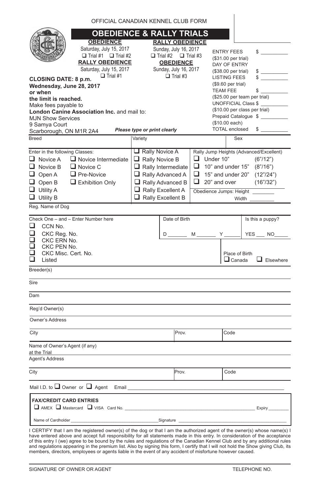|                                                                              | OFFICIAL CANADIAN KENNEL CLUB FORM              |                              |                           |                 |                  |                                          |      |                                         |
|------------------------------------------------------------------------------|-------------------------------------------------|------------------------------|---------------------------|-----------------|------------------|------------------------------------------|------|-----------------------------------------|
| <b>OBEDIENCE &amp; RALLY TRIALS</b>                                          |                                                 |                              |                           |                 |                  |                                          |      |                                         |
|                                                                              | <b>OBEDIENCE</b>                                | <b>RALLY OBEDIENCE</b>       |                           |                 |                  |                                          |      |                                         |
|                                                                              | Saturday, July 15, 2017                         | Sunday, July 16, 2017        |                           |                 |                  |                                          |      |                                         |
|                                                                              | $\Box$ Trial #1 $\Box$ Trial #2                 |                              | $\Box$ Trial #2           | $\Box$ Trial #3 |                  | <b>ENTRY FEES</b><br>(\$31.00 per trial) |      | $\frac{1}{2}$                           |
|                                                                              | <b>RALLY OBEDIENCE</b>                          |                              | <b>OBEDIENCE</b>          |                 |                  | DAY OF ENTRY                             |      |                                         |
|                                                                              | Saturday, July 15, 2017                         |                              | Sunday, July 16, 2017     |                 |                  | (\$38.00 per trial)                      |      | $\frac{1}{2}$                           |
| <b>CLOSING DATE: 8 p.m.</b>                                                  | $\Box$ Trial #1                                 |                              | $\Box$ Trial #3           |                 |                  | <b>LISTING FEES</b>                      |      |                                         |
| Wednesday, June 28, 2017                                                     |                                                 |                              |                           |                 |                  | (\$9.60 per trial)                       |      |                                         |
| or when                                                                      |                                                 |                              |                           |                 |                  | <b>TEAM FEE</b>                          |      | $\frac{1}{2}$                           |
| (\$25.00 per team per trial)<br>the limit is reached.<br>UNOFFICIAL Class \$ |                                                 |                              |                           |                 |                  |                                          |      |                                         |
| Make fees payable to                                                         | London Canine Association Inc. and mail to:     |                              |                           |                 |                  | (\$10.00 per class per trial)            |      |                                         |
| <b>MJN Show Services</b>                                                     |                                                 |                              |                           |                 |                  |                                          |      | Prepaid Catalogue \$                    |
| 9 Samya Court                                                                |                                                 |                              |                           |                 |                  | (\$10.00 each)                           |      |                                         |
| Scarborough, ON M1R 2A4                                                      |                                                 | Please type or print clearly |                           |                 |                  | <b>TOTAL enclosed</b>                    |      | $\frac{1}{2}$                           |
| Breed                                                                        |                                                 | Variety                      |                           |                 |                  | Sex                                      |      |                                         |
| Enter in the following Classes:                                              |                                                 | $\Box$ Rally Novice A        |                           |                 |                  |                                          |      | Rally Jump Heights (Advanced/Excellent) |
| $\Box$ Novice A                                                              | $\Box$ Novice Intermediate                      | $\Box$ Rally Novice B        |                           |                 | $\Box$ Under 10" |                                          |      | (6" / 12")                              |
| $\Box$ Novice B                                                              | $\Box$ Novice C                                 |                              | $\Box$ Rally Intermediate |                 |                  | $\Box$ 10" and under 15"                 |      | (8" / 16")                              |
| $\Box$ Open A                                                                | $\Box$ Pre-Novice                               |                              | $\Box$ Rally Advanced A   |                 |                  |                                          |      | $\Box$ 15" and under 20" (12"/24")      |
| $\Box$ Open B                                                                | $\Box$ Exhibition Only                          |                              | $\Box$ Rally Advanced B   |                 |                  | $\Box$ 20" and over                      |      | (16" / 32")                             |
| $\Box$ Utility A                                                             |                                                 |                              | $\Box$ Rally Excellent A  |                 |                  |                                          |      | Obedience Jumps: Height                 |
| $\Box$ Utility B                                                             |                                                 |                              | $\Box$ Rally Excellent B  |                 |                  | Width                                    |      |                                         |
| Reg. Name of Dog                                                             |                                                 |                              |                           |                 |                  |                                          |      |                                         |
|                                                                              | Check One - and - Enter Number here             |                              | Date of Birth             |                 |                  |                                          |      | Is this a puppy?                        |
| ◻<br>CCN No.                                                                 |                                                 |                              |                           |                 |                  |                                          |      |                                         |
| CKC Req. No.<br>$\Box$                                                       |                                                 |                              | $D_{\perp}$               | $M_{-}$         | $-Y$             |                                          | YES_ | NO.                                     |
| CKC ERN No.<br>CKC PEN No.                                                   |                                                 |                              |                           |                 |                  |                                          |      |                                         |
| П<br>CKC Misc. Cert. No.                                                     |                                                 |                              |                           |                 |                  | Place of Birth                           |      |                                         |
| Listed                                                                       |                                                 |                              |                           |                 |                  | $\Box$ Canada                            |      | $\Box$ Elsewhere                        |
| Breeder(s)                                                                   |                                                 |                              |                           |                 |                  |                                          |      |                                         |
| Sire                                                                         |                                                 |                              |                           |                 |                  |                                          |      |                                         |
| Dam                                                                          |                                                 |                              |                           |                 |                  |                                          |      |                                         |
| Reg'd Owner(s)                                                               |                                                 |                              |                           |                 |                  |                                          |      |                                         |
| Owner's Address                                                              |                                                 |                              |                           |                 |                  |                                          |      |                                         |
|                                                                              |                                                 |                              |                           |                 |                  |                                          |      |                                         |
| City                                                                         |                                                 |                              | Prov.                     |                 |                  | Code                                     |      |                                         |
| Name of Owner's Agent (if any)<br>at the Trial                               |                                                 |                              |                           |                 |                  |                                          |      |                                         |
| Agent's Address                                                              |                                                 |                              |                           |                 |                  |                                          |      |                                         |
| City                                                                         |                                                 |                              | Prov.                     |                 |                  | Code                                     |      |                                         |
|                                                                              | Mail I.D. to $\Box$ Owner or $\Box$ Agent Email |                              |                           |                 |                  |                                          |      |                                         |
| <b>FAX/CREDIT CARD ENTRIES</b>                                               |                                                 |                              |                           |                 |                  |                                          |      |                                         |
|                                                                              | AMEX Mastercard VISA Card No.                   |                              |                           |                 |                  | <b>Expiry</b>                            |      |                                         |
| Name of Cardholder                                                           |                                                 |                              | Signature                 |                 |                  |                                          |      |                                         |
|                                                                              |                                                 |                              |                           |                 |                  |                                          |      |                                         |

I CERTIFY that I am the registered owner(s) of the dog or that I am the authorized agent of the owner(s) whose name(s) I<br>have entered above and accept full responsibility for all statements made in this entry. In considera

 $\overline{\phantom{a}}$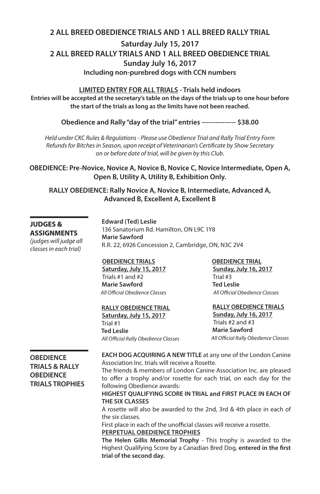### **2 ALL BREED OBEDIENCE TRIALS AND 1 ALL BREED RALLY TRIAL Saturday July 15, 2017 2 ALL BREED RALLY TRIALS AND 1 ALL BREED OBEDIENCE TRIAL Sunday July 16, 2017 Including non-purebred dogs with CCN numbers**

**LIMITED ENTRY FOR ALL TRIALS - Trials held indoors Entries will be accepted at the secretary's table on the days of the trials up to one hour before the start of the trials as long as the limits have not been reached.**

**Obedience and Rally "day of the trial" entries --------------- \$38.00**

*Held under CKC Rules & Regulations - Please use Obedience Trial and Rally Trial Entry Form Refunds for Bitches in Season, upon receipt of Veterinarian's Certificate by Show Secretary on or before date of trial, will be given by this Club.*

**OBEDIENCE: Pre-Novice, Novice A, Novice B, Novice C, Novice Intermediate, Open A, Open B, Utility A, Utility B, Exhibition Only.**

**RALLY OBEDIENCE: Rally Novice A, Novice B, Intermediate, Advanced A, Advanced B, Excellent A, Excellent B**

#### **JUDGES & ASSIGNMENTS**

*(judges will judge all classes in each trial)*

**Edward (Ted) Leslie** 136 Sanatorium Rd. Hamilton, ON L9C 1Y8 **Marie Sawford** R.R. 22, 6926 Concession 2, Cambridge, ON, N3C 2V4

#### **OBEDIENCE TRIALS**

 **Saturday, July 15, 2017** Trials #1 and #2  **Marie Sawford**  *All Official Obedience Classes*

### **RALLY OBEDIENCE TRIAL**

 **Saturday, July 15, 2017** Trial #1  **Ted Leslie** *All Official Rally Obedience Classes*

#### **OBEDIENCE TRIAL**

**Sunday, July 16, 2017** Trial #3  **Ted Leslie** *All Official Obedience Classes*

#### **RALLY OBEDIENCE TRIALS**

**Sunday, July 16, 2017** Trials #2 and #3 **Marie Sawford** *All Official Rally Obedience Classes*

#### **OBEDIENCE TRIALS & RALLY OBEDIENCE TRIALS TROPHIES**

**EACH DOG ACQUIRING A NEW TITLE** at any one of the London Canine Association Inc. trials will receive a Rosette.

The friends & members of London Canine Association Inc. are pleased to offer a trophy and/or rosette for each trial, on each day for the following Obedience awards:

#### **HIGHEST QUALIFYING SCORE IN TRIAL and FIRST PLACE IN EACH OF THE SIX CLASSES**

A rosette will also be awarded to the 2nd, 3rd & 4th place in each of the six classes.

First place in each of the unofficial classes will receive a rosette. **PERPETUAL OBEDIENCE TROPHIES**

**The Helen Gillis Memorial Trophy** - This trophy is awarded to the Highest Qualifying Score by a Canadian Bred Dog, **entered in the first trial of the second day.**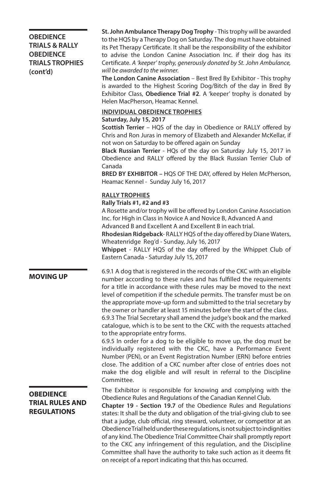#### **OBEDIENCE TRIALS & RALLY OBEDIENCE TRIALS TROPHIES (cont'd)**

**St. John Ambulance Therapy Dog Trophy** - This trophy will be awarded to the HQS by a Therapy Dog on Saturday. The dog must have obtained its Pet Therapy Certificate. It shall be the responsibility of the exhibitor to advise the London Canine Association Inc. if their dog has its Certificate. *A 'keeper' trophy, generously donated by St. John Ambulance, will be awarded to the winner.*

**The London Canine Association** – Best Bred By Exhibitor - This trophy is awarded to the Highest Scoring Dog/Bitch of the day in Bred By Exhibitor Class, **Obedience Trial #2**. A 'keeper' trophy is donated by Helen MacPherson, Heamac Kennel.

#### **INDIVIDUAL OBEDIENCE TROPHIES**

#### **Saturday, July 15, 2017**

**Scottish Terrier** – HQS of the day in Obedience or RALLY offered by Chris and Ron Juras in memory of Elizabeth and Alexander McKellar, if not won on Saturday to be offered again on Sunday

**Black Russian Terrier** - HQs of the day on Saturday July 15, 2017 in Obedience and RALLY offered by the Black Russian Terrier Club of Canada

**BRED BY EXHIBITOR –** HQS OF THE DAY, offered by Helen McPherson, Heamac Kennel - Sunday July 16, 2017

#### **RALLY TROPHIES**

#### **Rally Trials #1, #2 and #3**

A Rosette and/or trophy will be offered by London Canine Association Inc. for High in Class in Novice A and Novice B, Advanced A and Advanced B and Excellent A and Excellent B in each trial.

**Rhodesian Ridgeback**- RALLY HQS of the day offered by Diane Waters, Wheatenridge Reg'd - Sunday, July 16, 2017

**Whippet** - RALLY HQS of the day offered by the Whippet Club of Eastern Canada - Saturday July 15, 2017

**MOVING UP** 6.9.1 A dog that is registered in the records of the CKC with an eligible number according to these rules and has fulfilled the requirements for a title in accordance with these rules may be moved to the next level of competition if the schedule permits. The transfer must be on the appropriate move-up form and submitted to the trial secretary by the owner or handler at least 15 minutes before the start of the class.

> 6.9.3 The Trial Secretary shall amend the judge's book and the marked catalogue, which is to be sent to the CKC with the requests attached to the appropriate entry forms.

> 6.9.5 In order for a dog to be eligible to move up, the dog must be individually registered with the CKC, have a Performance Event Number (PEN), or an Event Registration Number (ERN) before entries close. The addition of a CKC number after close of entries does not make the dog eligible and will result in referral to the Discipline Committee.

> The Exhibitor is responsible for knowing and complying with the Obedience Rules and Regulations of the Canadian Kennel Club.

> **Chapter 19 - Section 19.7** of the Obedience Rules and Regulations states: It shall be the duty and obligation of the trial-giving club to see that a judge, club official, ring steward, volunteer, or competitor at an Obedience Trial held under these regulations, is not subject to indignities of any kind. The Obedience Trial Committee Chair shall promptly report to the CKC any infringement of this regulation, and the Discipline Committee shall have the authority to take such action as it deems fit on receipt of a report indicating that this has occurred.

### **OBEDIENCE TRIAL RULES AND REGULATIONS**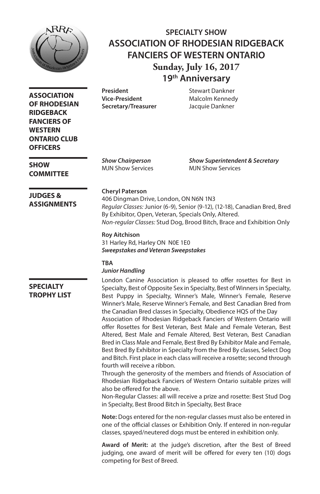

### **SPECIALTY SHOW ASSOCIATION OF RHODESIAN RIDGEBACK FANCIERS OF WESTERN ONTARIO Sunday, July 16, 2017 19th Anniversary**

**Vice-President** Malcolm Kennedy **Secretary/Treasurer** Jacquie Dankner

**President** Stewart Dankner

*Show Chairperson Show Superintendent & Secretary* MJN Show Services MJN Show Services

#### **Cheryl Paterson**

406 Dingman Drive, London, ON N6N 1N3 *Regular Classes:* Junior (6-9), Senior (9-12), (12-18), Canadian Bred, Bred By Exhibitor, Open, Veteran, Specials Only, Altered. *Non-regular Classes:* Stud Dog, Brood Bitch, Brace and Exhibition Only

#### **Roy Aitchison**

31 Harley Rd, Harley ON N0E 1E0 *Sweepstakes and Veteran Sweepstakes*

#### **TBA**

#### *Junior Handling*

**SPECIALTY TROPHY LIST** London Canine Association is pleased to offer rosettes for Best in Specialty, Best of Opposite Sex in Specialty, Best of Winners in Specialty, Best Puppy in Specialty, Winner's Male, Winner's Female, Reserve Winner's Male, Reserve Winner's Female, and Best Canadian Bred from the Canadian Bred classes in Specialty, Obedience HQS of the Day Association of Rhodesian Ridgeback Fanciers of Western Ontario will offer Rosettes for Best Veteran, Best Male and Female Veteran, Best Altered, Best Male and Female Altered, Best Veteran, Best Canadian Bred in Class Male and Female, Best Bred By Exhibitor Male and Female, Best Bred By Exhibitor in Specialty from the Bred By classes, Select Dog and Bitch. First place in each class will receive a rosette; second through fourth will receive a ribbon.

Through the generosity of the members and friends of Association of Rhodesian Ridgeback Fanciers of Western Ontario suitable prizes will also be offered for the above.

Non-Regular Classes: all will receive a prize and rosette: Best Stud Dog in Specialty, Best Brood Bitch in Specialty, Best Brace

**Note:** Dogs entered for the non-regular classes must also be entered in one of the official classes or Exhibition Only. If entered in non-regular classes, spayed/neutered dogs must be entered in exhibition only.

**Award of Merit:** at the judge's discretion, after the Best of Breed judging, one award of merit will be offered for every ten (10) dogs competing for Best of Breed.

**RIDGEBACK FANCIERS OF WESTERN ONTARIO CLUB OFFICERS**

**ASSOCIATION OF RHODESIAN** 

**SHOW COMMITTEE**

#### **JUDGES & ASSIGNMENTS**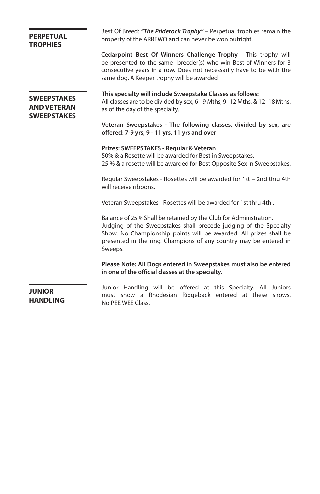| <b>PERPETUAL</b><br><b>TROPHIES</b>                            | Best Of Breed: "The Priderock Trophy" – Perpetual trophies remain the<br>property of the ARRFWO and can never be won outright.                                                                                                                                                             |  |  |  |  |  |
|----------------------------------------------------------------|--------------------------------------------------------------------------------------------------------------------------------------------------------------------------------------------------------------------------------------------------------------------------------------------|--|--|--|--|--|
|                                                                | Cedarpoint Best Of Winners Challenge Trophy - This trophy will<br>be presented to the same breeder(s) who win Best of Winners for 3<br>consecutive years in a row. Does not necessarily have to be with the<br>same dog. A Keeper trophy will be awarded                                   |  |  |  |  |  |
| <b>SWEEPSTAKES</b><br><b>AND VETERAN</b><br><b>SWEEPSTAKES</b> | This specialty will include Sweepstake Classes as follows:<br>All classes are to be divided by sex, 6 - 9 Mths, 9 -12 Mths, & 12 -18 Mths.<br>as of the day of the specialty.                                                                                                              |  |  |  |  |  |
|                                                                | Veteran Sweepstakes - The following classes, divided by sex, are<br>offered: 7-9 yrs, 9 - 11 yrs, 11 yrs and over                                                                                                                                                                          |  |  |  |  |  |
|                                                                | Prizes: SWEEPSTAKES - Regular & Veteran<br>50% & a Rosette will be awarded for Best in Sweepstakes.<br>25 % & a rosette will be awarded for Best Opposite Sex in Sweepstakes.                                                                                                              |  |  |  |  |  |
|                                                                | Regular Sweepstakes - Rosettes will be awarded for 1st - 2nd thru 4th<br>will receive ribbons.                                                                                                                                                                                             |  |  |  |  |  |
|                                                                | Veteran Sweepstakes - Rosettes will be awarded for 1st thru 4th.                                                                                                                                                                                                                           |  |  |  |  |  |
|                                                                | Balance of 25% Shall be retained by the Club for Administration.<br>Judging of the Sweepstakes shall precede judging of the Specialty<br>Show. No Championship points will be awarded. All prizes shall be<br>presented in the ring. Champions of any country may be entered in<br>Sweeps. |  |  |  |  |  |
|                                                                | Please Note: All Dogs entered in Sweepstakes must also be entered<br>in one of the official classes at the specialty.                                                                                                                                                                      |  |  |  |  |  |
| <b>JUNIOR</b><br><b>HANDLING</b>                               | Junior Handling will be offered at this Specialty. All Juniors<br>must show a Rhodesian Ridgeback entered at these shows.<br>No PEE WEE Class.                                                                                                                                             |  |  |  |  |  |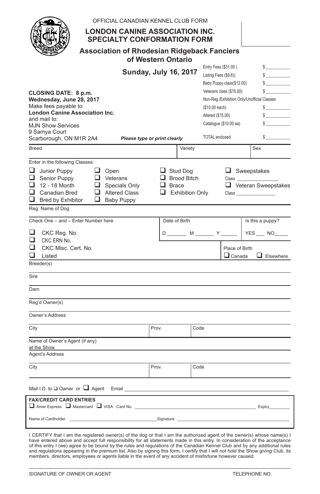| OFFICIAL CANADIAN KENNEL CLUB FORM                                                              |                                    |                                                    |                            |  |  |  |  |  |  |
|-------------------------------------------------------------------------------------------------|------------------------------------|----------------------------------------------------|----------------------------|--|--|--|--|--|--|
| <b>LONDON CANINE ASSOCIATION INC.</b><br><b>SPECIALTY CONFORMATION FORM</b>                     |                                    |                                                    |                            |  |  |  |  |  |  |
| <b>Association of Rhodesian Ridgeback Fanciers</b><br>of Western Ontario                        |                                    |                                                    |                            |  |  |  |  |  |  |
|                                                                                                 | <b>Sunday, July 16, 2017</b>       | Entry Fees (\$31.00)                               | s<br>$\mathbb{S}$          |  |  |  |  |  |  |
|                                                                                                 |                                    | Listing Fees (\$9.6))<br>Baby Puppy class(\$12.00) | $\sim$                     |  |  |  |  |  |  |
|                                                                                                 |                                    | Veterans class (\$15.00)                           | \$                         |  |  |  |  |  |  |
| CLOSING DATE: 8 p.m.<br>Wednesday, June 28, 2017<br>Non-Reg./Exhibition Only/Unofficial Classes |                                    |                                                    |                            |  |  |  |  |  |  |
| Make fees payable to                                                                            |                                    | (\$10.00 each)                                     | $\frac{1}{2}$              |  |  |  |  |  |  |
| <b>London Canine Association Inc.</b>                                                           |                                    | Altered (\$15.00)                                  | S                          |  |  |  |  |  |  |
| and mail to:<br><b>MJN Show Services</b>                                                        |                                    | Catalogue (\$10.00 ea)                             | $\mathbb{S}$               |  |  |  |  |  |  |
| 9 Samya Court                                                                                   |                                    |                                                    |                            |  |  |  |  |  |  |
| Scarborough, ON M1R 2A4                                                                         | Please type or print clearly       | <b>TOTAL</b> enclosed                              | $\mathbb{S}$               |  |  |  |  |  |  |
| <b>Breed</b>                                                                                    | Variety                            |                                                    | Sex                        |  |  |  |  |  |  |
| Enter in the following Classes:                                                                 |                                    |                                                    |                            |  |  |  |  |  |  |
| $\Box$ Junior Puppy<br>$\Box$ Open                                                              | $\Box$ Stud Dog                    |                                                    | $\Box$ Sweepstakes         |  |  |  |  |  |  |
| $\Box$ Senior Puppy<br>$\Box$ Veterans<br>$\Box$ 12 - 18 Month                                  | $\Box$ Brood Bitch<br>$\Box$ Brace | Class                                              |                            |  |  |  |  |  |  |
| $\Box$ Specials Only<br>$\Box$ Canadian Bred<br>Altered Class                                   | $\Box$ Exhibition Only             |                                                    | $\Box$ Veteran Sweepstakes |  |  |  |  |  |  |
| $\Box$ Bred by Exhibitor<br>□<br><b>Baby Puppy</b>                                              |                                    |                                                    |                            |  |  |  |  |  |  |
| Reg. Name of Dog                                                                                |                                    |                                                    |                            |  |  |  |  |  |  |
| Check One - and - Enter Number here                                                             | Date of Birth                      |                                                    | Is this a puppy?           |  |  |  |  |  |  |
| ப<br>CKC Reg. No.                                                                               |                                    | D ________ M _______ Y __                          | YES __ NO                  |  |  |  |  |  |  |
| ◻<br>CKC ERN No.                                                                                |                                    |                                                    |                            |  |  |  |  |  |  |
| ◻<br>CKC Misc. Cert. No.                                                                        |                                    | Place of Birth                                     |                            |  |  |  |  |  |  |
| Listed<br>Breeder(s)                                                                            |                                    | $\Box$ Canada                                      | $\Box$ Elsewhere           |  |  |  |  |  |  |
|                                                                                                 |                                    |                                                    |                            |  |  |  |  |  |  |
| Sire                                                                                            |                                    |                                                    |                            |  |  |  |  |  |  |
| Dam                                                                                             |                                    |                                                    |                            |  |  |  |  |  |  |
| Reg'd Owner(s)                                                                                  |                                    |                                                    |                            |  |  |  |  |  |  |
| Owner's Address                                                                                 |                                    |                                                    |                            |  |  |  |  |  |  |
| City                                                                                            | Prov.                              | Code                                               |                            |  |  |  |  |  |  |
| Name of Owner's Agent (if any)                                                                  |                                    |                                                    |                            |  |  |  |  |  |  |
| at the Show<br>Agent's Address                                                                  |                                    |                                                    |                            |  |  |  |  |  |  |
|                                                                                                 |                                    |                                                    |                            |  |  |  |  |  |  |
| City                                                                                            | Prov.                              | Code                                               |                            |  |  |  |  |  |  |
| Mail I.D. to $\square$ Owner or $\square$ Agent Email                                           |                                    |                                                    |                            |  |  |  |  |  |  |
| <b>FAX/CREDIT CARD ENTRIES</b><br>Amer Express Mastercard VISA Card No.                         |                                    |                                                    | <b>Expiry</b>              |  |  |  |  |  |  |
| Name of Cardholder                                                                              | Signature                          |                                                    |                            |  |  |  |  |  |  |

I CERTIFY that I am the registered owner(s) of the dog or that I am the authorized agent of the owner(s) whose name(s) I<br>have entered above and accept full responsibility for all statements made in this entry. In considera and regulations appearing in the premium list. Also by signing this form, I certify that I will not hold the Show giving Club, its<br>members, directors, employees or agents liable in the event of any accident of misfortune h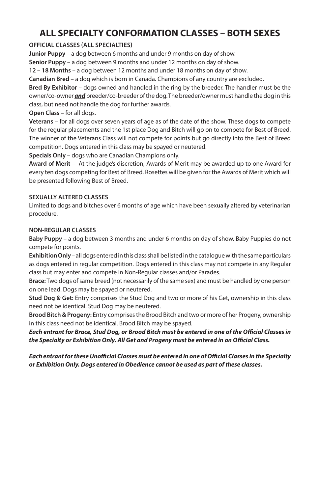## **ALL SPECIALTY CONFORMATION CLASSES – BOTH SEXES**

#### **OFFICIAL CLASSES (ALL SPECIALTIES)**

**Junior Puppy** – a dog between 6 months and under 9 months on day of show.

**Senior Puppy** – a dog between 9 months and under 12 months on day of show.

**12 – 18 Months** – a dog between 12 months and under 18 months on day of show.

**Canadian Bred** – a dog which is born in Canada. Champions of any country are excluded.

**Bred By Exhibitor** – dogs owned and handled in the ring by the breeder. The handler must be the owner/co-owner *and* breeder/co-breeder of the dog. The breeder/owner must handle the dog in this class, but need not handle the dog for further awards.

**Open Class** – for all dogs.

**Veterans** – for all dogs over seven years of age as of the date of the show. These dogs to compete for the regular placements and the 1st place Dog and Bitch will go on to compete for Best of Breed. The winner of the Veterans Class will not compete for points but go directly into the Best of Breed competition. Dogs entered in this class may be spayed or neutered.

**Specials Only** – dogs who are Canadian Champions only.

**Award of Merit** – At the judge's discretion, Awards of Merit may be awarded up to one Award for every ten dogs competing for Best of Breed. Rosettes will be given for the Awards of Merit which will be presented following Best of Breed.

#### **SEXUALLY ALTERED CLASSES**

Limited to dogs and bitches over 6 months of age which have been sexually altered by veterinarian procedure.

#### **NON-REGULAR CLASSES**

**Baby Puppy** – a dog between 3 months and under 6 months on day of show. Baby Puppies do not compete for points.

**Exhibition Only** – all dogs entered in this class shall be listed in the catalogue with the same particulars as dogs entered in regular competition. Dogs entered in this class may not compete in any Regular class but may enter and compete in Non-Regular classes and/or Parades.

**Brace:** Two dogs of same breed (not necessarily of the same sex) and must be handled by one person on one lead. Dogs may be spayed or neutered.

**Stud Dog & Get:** Entry comprises the Stud Dog and two or more of his Get, ownership in this class need not be identical. Stud Dog may be neutered.

**Brood Bitch & Progeny:** Entry comprises the Brood Bitch and two or more of her Progeny, ownership in this class need not be identical. Brood Bitch may be spayed.

*Each entrant for Brace, Stud Dog, or Brood Bitch must be entered in one of the Official Classes in the Specialty or Exhibition Only. All Get and Progeny must be entered in an Official Class.* 

*Each entrant for these Unofficial Classes must be entered in one of Official Classes in the Specialty or Exhibition Only. Dogs entered in Obedience cannot be used as part of these classes.*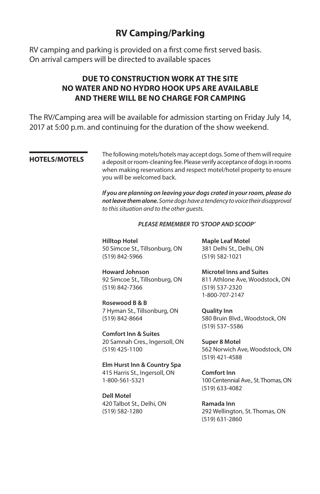### **RV Camping/Parking**

RV camping and parking is provided on a first come first served basis. On arrival campers will be directed to available spaces

### **DUE TO CONSTRUCTION WORK AT THE SITE NO WATER AND NO HYDRO HOOK UPS ARE AVAILABLE AND THERE WILL BE NO CHARGE FOR CAMPING**

The RV/Camping area will be available for admission starting on Friday July 14, 2017 at 5:00 p.m. and continuing for the duration of the show weekend.

The following motels/hotels may accept dogs. Some of them will require<br>**HOTELS/MOTELS** expressive a density of the Place using the acceptance of density require a deposit or room-cleaning fee. Please verify acceptance of dogs in rooms when making reservations and respect motel/hotel property to ensure you will be welcomed back.

> *If you are planning on leaving your dogs crated in your room, please do not leave them alone. Some dogs have a tendency to voice their disapproval to this situation and to the other guests.*

#### *PLEASE REMEMBER TO 'STOOP AND SCOOP'*

**Hilltop Hotel** 50 Simcoe St., Tillsonburg, ON (519) 842-5966

**Howard Johnson** 92 Simcoe St., Tillsonburg, ON (519) 842-7366

**Rosewood B & B** 7 Hyman St., Tillsonburg, ON (519) 842-8664

**Comfort Inn & Suites** 20 Samnah Cres., Ingersoll, ON (519) 425-1100

**Elm Hurst Inn & Country Spa**  415 Harris St., Ingersoll, ON 1-800-561-5321

**Dell Motel** 420 Talbot St., Delhi, ON (519) 582-1280

**Maple Leaf Motel** 381 Delhi St., Delhi, ON (519) 582-1021

**Microtel Inns and Suites** 811 Athlone Ave, Woodstock, ON (519) 537-2320 1-800-707-2147

**Quality Inn** 580 Bruin Blvd., Woodstock, ON (519) 537–5586

**Super 8 Motel** 562 Norwich Ave, Woodstock, ON (519) 421-4588

**Comfort Inn** 100 Centennial Ave., St. Thomas, ON (519) 633-4082

**Ramada Inn** 292 Wellington, St. Thomas, ON (519) 631-2860